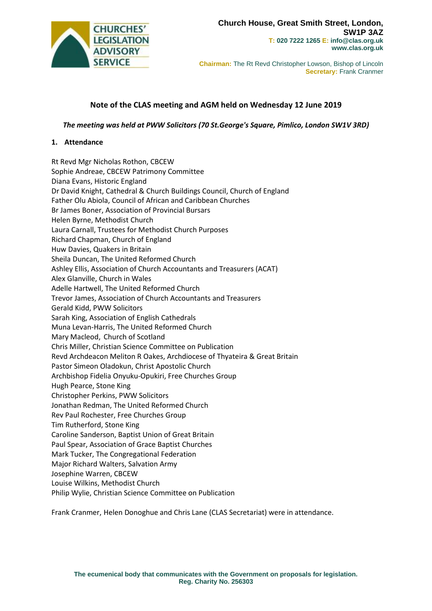

**Chairman:** The Rt Revd Christopher Lowson, Bishop of Lincoln **Secretary:** Frank Cranmer

# **Note of the CLAS meeting and AGM held on Wednesday 12 June 2019**

*The meeting was held at PWW Solicitors (70 St.George's Square, Pimlico, London SW1V 3RD)*

## **1. Attendance**

Rt Revd Mgr Nicholas Rothon, CBCEW Sophie Andreae, CBCEW Patrimony Committee Diana Evans, Historic England Dr David Knight, Cathedral & Church Buildings Council, Church of England Father Olu Abiola, Council of African and Caribbean Churches Br James Boner, Association of Provincial Bursars Helen Byrne, Methodist Church Laura Carnall, Trustees for Methodist Church Purposes Richard Chapman, Church of England Huw Davies, Quakers in Britain Sheila Duncan, The United Reformed Church Ashley Ellis, Association of Church Accountants and Treasurers (ACAT) Alex Glanville, Church in Wales Adelle Hartwell, The United Reformed Church Trevor James, Association of Church Accountants and Treasurers Gerald Kidd, PWW Solicitors Sarah King, Association of English Cathedrals Muna Levan-Harris, The United Reformed Church Mary Macleod, Church of Scotland Chris Miller, Christian Science Committee on Publication Revd Archdeacon Meliton R Oakes, Archdiocese of Thyateira & Great Britain Pastor Simeon Oladokun, Christ Apostolic Church Archbishop Fidelia Onyuku-Opukiri, Free Churches Group Hugh Pearce, Stone King Christopher Perkins, PWW Solicitors Jonathan Redman, The United Reformed Church Rev Paul Rochester, Free Churches Group Tim Rutherford, Stone King Caroline Sanderson, Baptist Union of Great Britain Paul Spear, Association of Grace Baptist Churches Mark Tucker, The Congregational Federation Major Richard Walters, Salvation Army Josephine Warren, CBCEW Louise Wilkins, Methodist Church Philip Wylie, Christian Science Committee on Publication

Frank Cranmer, Helen Donoghue and Chris Lane (CLAS Secretariat) were in attendance.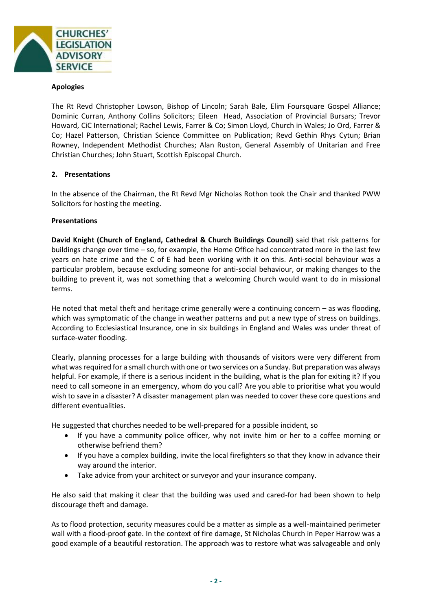

### **Apologies**

The Rt Revd Christopher Lowson, Bishop of Lincoln; Sarah Bale, Elim Foursquare Gospel Alliance; Dominic Curran, Anthony Collins Solicitors; Eileen Head, Association of Provincial Bursars; Trevor Howard, CiC International; Rachel Lewis, Farrer & Co; Simon Lloyd, Church in Wales; Jo Ord, Farrer & Co; Hazel Patterson, Christian Science Committee on Publication; Revd Gethin Rhys Cytun; Brian Rowney, Independent Methodist Churches; Alan Ruston, General Assembly of Unitarian and Free Christian Churches; John Stuart, Scottish Episcopal Church.

## **2. Presentations**

In the absence of the Chairman, the Rt Revd Mgr Nicholas Rothon took the Chair and thanked PWW Solicitors for hosting the meeting.

#### **Presentations**

**David Knight (Church of England, Cathedral & Church Buildings Council)** said that risk patterns for buildings change over time – so, for example, the Home Office had concentrated more in the last few years on hate crime and the C of E had been working with it on this. Anti-social behaviour was a particular problem, because excluding someone for anti-social behaviour, or making changes to the building to prevent it, was not something that a welcoming Church would want to do in missional terms.

He noted that metal theft and heritage crime generally were a continuing concern – as was flooding, which was symptomatic of the change in weather patterns and put a new type of stress on buildings. According to Ecclesiastical Insurance, one in six buildings in England and Wales was under threat of surface-water flooding.

Clearly, planning processes for a large building with thousands of visitors were very different from what was required for a small church with one or two services on a Sunday. But preparation was always helpful. For example, if there is a serious incident in the building, what is the plan for exiting it? If you need to call someone in an emergency, whom do you call? Are you able to prioritise what you would wish to save in a disaster? A disaster management plan was needed to cover these core questions and different eventualities.

He suggested that churches needed to be well-prepared for a possible incident, so

- If you have a community police officer, why not invite him or her to a coffee morning or otherwise befriend them?
- If you have a complex building, invite the local firefighters so that they know in advance their way around the interior.
- Take advice from your architect or surveyor and your insurance company.

He also said that making it clear that the building was used and cared-for had been shown to help discourage theft and damage.

As to flood protection, security measures could be a matter as simple as a well-maintained perimeter wall with a flood-proof gate. In the context of fire damage, St Nicholas Church in Peper Harrow was a good example of a beautiful restoration. The approach was to restore what was salvageable and only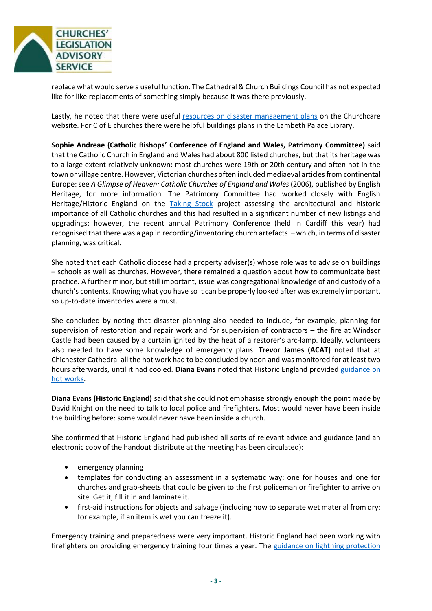

replace what would serve a useful function. The Cathedral & Church Buildings Council has not expected like for like replacements of something simply because it was there previously.

Lastly, he noted that there were useful [resources on disaster management plans](https://www.churchofengland.org/more/church-resources/churchcare/advice-and-guidance-church-buildings/disaster-prevention-and-management) on the Churchcare website. For C of E churches there were helpful buildings plans in the Lambeth Palace Library.

**Sophie Andreae (Catholic Bishops' Conference of England and Wales, Patrimony Committee)** said that the Catholic Church in England and Wales had about 800 listed churches, but that its heritage was to a large extent relatively unknown: most churches were 19th or 20th century and often not in the town or village centre. However, Victorian churches often included mediaeval articles from continental Europe: see *A Glimpse of Heaven: Catholic Churches of England and Wales*(2006), published by English Heritage, for more information. The Patrimony Committee had worked closely with English Heritage/Historic England on the [Taking Stock](http://taking-stock.org.uk/) project assessing the architectural and historic importance of all Catholic churches and this had resulted in a significant number of new listings and upgradings; however, the recent annual Patrimony Conference (held in Cardiff this year) had recognised that there was a gap in recording/inventoring church artefacts – which, in terms of disaster planning, was critical.

She noted that each Catholic diocese had a property adviser(s) whose role was to advise on buildings – schools as well as churches. However, there remained a question about how to communicate best practice. A further minor, but still important, issue was congregational knowledge of and custody of a church's contents. Knowing what you have so it can be properly looked after was extremely important, so up-to-date inventories were a must.

She concluded by noting that disaster planning also needed to include, for example, planning for supervision of restoration and repair work and for supervision of contractors – the fire at Windsor Castle had been caused by a curtain ignited by the heat of a restorer's arc-lamp. Ideally, volunteers also needed to have some knowledge of emergency plans. **Trevor James (ACAT)** noted that at Chichester Cathedral all the hot work had to be concluded by noon and was monitored for at least two hours afterwards, until it had cooled. **Diana Evans** noted that Historic England provided [guidance on](https://historicengland.org.uk/content/docs/advice/fire-safety-hot-work-historic-buildings/%5d)  [hot works.](https://historicengland.org.uk/content/docs/advice/fire-safety-hot-work-historic-buildings/%5d)

**Diana Evans (Historic England)** said that she could not emphasise strongly enough the point made by David Knight on the need to talk to local police and firefighters. Most would never have been inside the building before: some would never have been inside a church.

She confirmed that Historic England had published all sorts of relevant advice and guidance (and an electronic copy of the handout distribute at the meeting has been circulated):

- emergency planning
- templates for conducting an assessment in a systematic way: one for houses and one for churches and grab-sheets that could be given to the first policeman or firefighter to arrive on site. Get it, fill it in and laminate it.
- first-aid instructions for objects and salvage (including how to separate wet material from dry: for example, if an item is wet you can freeze it).

Emergency training and preparedness were very important. Historic England had been working with firefighters on providing emergency training four times a year. The [guidance on lightning protection](https://historicengland.org.uk/images-books/publications/lightning-protection/)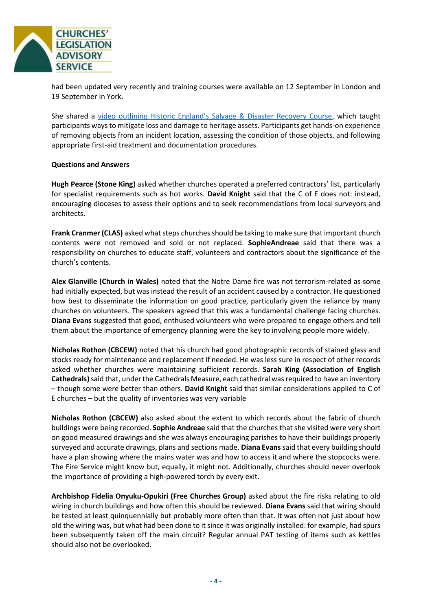

had been updated very recently and training courses were available on 12 September in London and 19 September in York.

She shared a [video outlining Historic England's Salvage & Disaster Recovery Course](https://www.youtube.com/watch?v=xogyhx05lkI), which taught participants ways to mitigate loss and damage to heritage assets. Participants get hands-on experience of removing objects from an incident location, assessing the condition of those objects, and following appropriate first-aid treatment and documentation procedures.

## **Questions and Answers**

**Hugh Pearce (Stone King)** asked whether churches operated a preferred contractors' list, particularly for specialist requirements such as hot works. **David Knight** said that the C of E does not: instead, encouraging dioceses to assess their options and to seek recommendations from local surveyors and architects.

**Frank Cranmer (CLAS)** asked what steps churches should be taking to make sure that important church contents were not removed and sold or not replaced. **SophieAndreae** said that there was a responsibility on churches to educate staff, volunteers and contractors about the significance of the church's contents.

**Alex Glanville (Church in Wales)** noted that the Notre Dame fire was not terrorism-related as some had initially expected, but was instead the result of an accident caused by a contractor. He questioned how best to disseminate the information on good practice, particularly given the reliance by many churches on volunteers. The speakers agreed that this was a fundamental challenge facing churches. **Diana Evans** suggested that good, enthused volunteers who were prepared to engage others and tell them about the importance of emergency planning were the key to involving people more widely.

**Nicholas Rothon (CBCEW)** noted that his church had good photographic records of stained glass and stocks ready for maintenance and replacement if needed. He was less sure in respect of other records asked whether churches were maintaining sufficient records. **Sarah King (Association of English Cathedrals)**said that, under the Cathedrals Measure, each cathedral was required to have an inventory – though some were better than others. **David Knight** said that similar considerations applied to C of E churches – but the quality of inventories was very variable

**Nicholas Rothon (CBCEW)** also asked about the extent to which records about the fabric of church buildings were being recorded. **Sophie Andreae** said that the churches that she visited were very short on good measured drawings and she was always encouraging parishes to have their buildings properly surveyed and accurate drawings, plans and sections made. **Diana Evans** said that every building should have a plan showing where the mains water was and how to access it and where the stopcocks were. The Fire Service might know but, equally, it might not. Additionally, churches should never overlook the importance of providing a high-powered torch by every exit.

**Archbishop Fidelia Onyuku-Opukiri (Free Churches Group)** asked about the fire risks relating to old wiring in church buildings and how often this should be reviewed. **Diana Evans** said that wiring should be tested at least quinquennially but probably more often than that. It was often not just about how old the wiring was, but what had been done to it since it was originally installed: for example, had spurs been subsequently taken off the main circuit? Regular annual PAT testing of items such as kettles should also not be overlooked.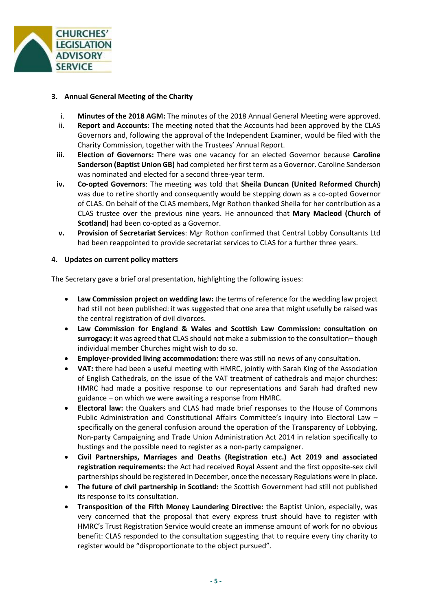

## **3. Annual General Meeting of the Charity**

- i. **Minutes of the 2018 AGM:** The minutes of the 2018 Annual General Meeting were approved.
- ii. **Report and Accounts**: The meeting noted that the Accounts had been approved by the CLAS Governors and, following the approval of the Independent Examiner, would be filed with the Charity Commission, together with the Trustees' Annual Report.
- **iii. Election of Governors:** There was one vacancy for an elected Governor because **Caroline Sanderson (Baptist Union GB)** had completed her first term as a Governor. Caroline Sanderson was nominated and elected for a second three-year term.
- **iv. Co-opted Governors**: The meeting was told that **Sheila Duncan (United Reformed Church)** was due to retire shortly and consequently would be stepping down as a co-opted Governor of CLAS. On behalf of the CLAS members, Mgr Rothon thanked Sheila for her contribution as a CLAS trustee over the previous nine years. He announced that **Mary Macleod (Church of Scotland)** had been co-opted as a Governor.
- **v. Provision of Secretariat Services**: Mgr Rothon confirmed that Central Lobby Consultants Ltd had been reappointed to provide secretariat services to CLAS for a further three years.

## **4. Updates on current policy matters**

The Secretary gave a brief oral presentation, highlighting the following issues:

- **Law Commission project on wedding law:** the terms of reference for the wedding law project had still not been published: it was suggested that one area that might usefully be raised was the central registration of civil divorces.
- **Law Commission for England & Wales and Scottish Law Commission: consultation on surrogacy:** it was agreed that CLAS should not make a submission to the consultation– though individual member Churches might wish to do so.
- **Employer-provided living accommodation:** there was still no news of any consultation.
- **VAT:** there had been a useful meeting with HMRC, jointly with Sarah King of the Association of English Cathedrals, on the issue of the VAT treatment of cathedrals and major churches: HMRC had made a positive response to our representations and Sarah had drafted new guidance – on which we were awaiting a response from HMRC.
- **Electoral law:** the Quakers and CLAS had made brief responses to the House of Commons Public Administration and Constitutional Affairs Committee's inquiry into Electoral Law – specifically on the general confusion around the operation of the Transparency of Lobbying, Non-party Campaigning and Trade Union Administration Act 2014 in relation specifically to hustings and the possible need to register as a non-party campaigner.
- **Civil Partnerships, Marriages and Deaths (Registration etc.) Act 2019 and associated registration requirements:** the Act had received Royal Assent and the first opposite-sex civil partnerships should be registered in December, once the necessary Regulations were in place.
- **The future of civil partnership in Scotland:** the Scottish Government had still not published its response to its consultation.
- **Transposition of the Fifth Money Laundering Directive:** the Baptist Union, especially, was very concerned that the proposal that every express trust should have to register with HMRC's Trust Registration Service would create an immense amount of work for no obvious benefit: CLAS responded to the consultation suggesting that to require every tiny charity to register would be "disproportionate to the object pursued".